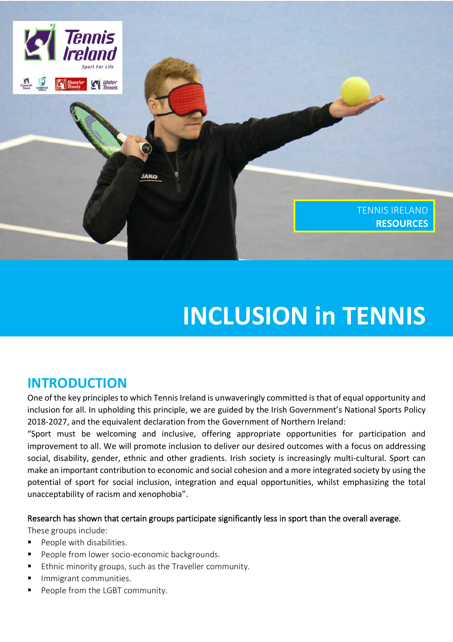

# **INCLUSION in TENNIS**

# **INTRODUCTION**

One of the key principles to which Tennis Ireland is unwaveringly committed is that of equal opportunity and inclusion for all. In upholding this principle, we are guided by the Irish Government's National Sports Policy 2018-2027, and the equivalent declaration from the Government of Northern Ireland:

"Sport must be welcoming and inclusive, offering appropriate opportunities for participation and improvement to all. We will promote inclusion to deliver our desired outcomes with a focus on addressing social, disability, gender, ethnic and other gradients. Irish society is increasingly multi-cultural. Sport can make an important contribution to economic and social cohesion and a more integrated society by using the potential of sport for social inclusion, integration and equal opportunities, whilst emphasizing the total unacceptability of racism and xenophobia".

#### Research has shown that certain groups participate significantly less in sport than the overall average.

These groups include:

- People with disabilities.
- People from lower socio-economic backgrounds.
- Ethnic minority groups, such as the Traveller community.
- Immigrant communities.
- People from the LGBT community.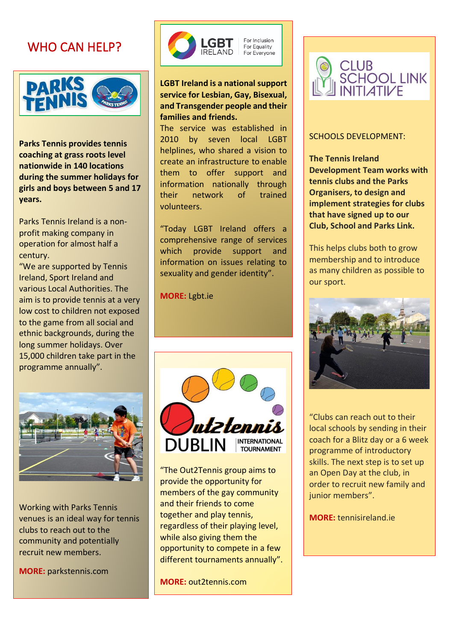# WHO CAN HELP?



 **Parks Tennis provides tennis coaching at grass roots level during the summer holidays for girls and boys between 5 and 17 nationwide in 140 locations years.**

Parks Tennis irelations a ne<br>profit making company in operation for almost half a Parks Tennis Ireland is a noncentury.

 "We are supported by Tennis ireland, Sport Ireland and<br>various Local Authorities. The aim is to provide tennis at a very to the game from all social and<br>to the game from all social and ethnic backgrounds, during the<br>lang summer holidaus, Over 15,000 children take part in the programme annually". Ireland, Sport Ireland and low cost to children not exposed long summer holidays. Over



 Working with Parks Tennis clubs to reach out to the community and potentially venues is an ideal way for tennis recruit new members.

 $\overline{\phantom{0}}$ Ī **MORE:** parkstennis.com



### **LGBT Ireland is a national support service for Lesbian, Gay, Bisexual, and Transgender people and their families and friends.**

The service was established in 2010 by seven local LGBT helplines, who shared a vision to create an infrastructure to enable them to offer support and information nationally through their network of trained volunteers.

"Today LGBT Ireland offers a comprehensive range of services which provide support and information on issues relating to sexuality and gender identity".

**MORE:** Lgbt.ie



"The Out2Tennis group aims to provide the opportunity for members of the gay community and their friends to come together and play tennis, regardless of their playing level, while also giving them the opportunity to compete in a few different tournaments annually".

**MORE:** out2tennis.com



### SCHOOLS DEVELOPMENT:

 **The Tennis Ireland Development Team works with Organisers, to design and that have signed up to our Club, School and Parks Link. tennis clubs and the Parks implement strategies for clubs** 

 This helps clubs both to grow membership and to introduce<br>as many children as possible to our sport. membership and to introduce



 "Clubs can reach out to their local schools by sending in their coach for a Blitz day or a 6 w<br>programme of introductory skills. The next step is to set up an open bay at the class in junior members". coach for a Blitz day or a 6 week an Open Day at the club, in

**MORE:** tennisireland.ie

 $\overline{a}$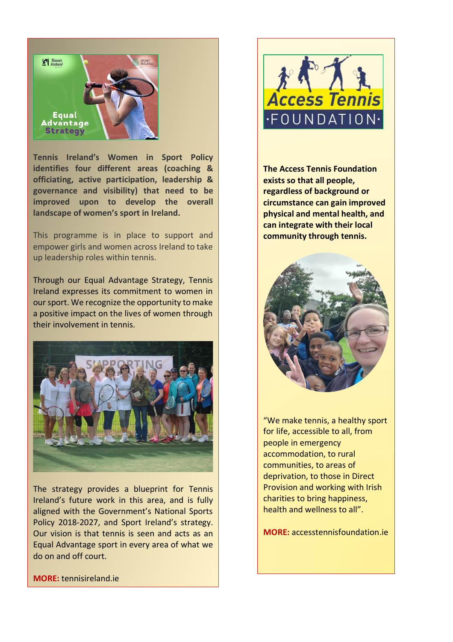

**Tennis Ireland's Women in Sport Policy identifies four different areas (coaching & officiating, active participation, leadership & governance and visibility) that need to be improved upon to develop the overall landscape of women's sport in Ireland.**

This programme is in place to support and empower girls and women across Ireland to take up leadership roles within tennis.

Through our Equal Advantage Strategy, Tennis Ireland expresses its commitment to women in our sport. We recognize the opportunity to make a positive impact on the lives of women through their involvement in tennis.



The strategy provides a blueprint for Tennis Ireland's future work in this area, and is fully aligned with the Government's National Sports Policy 2018-2027, and Sport Ireland's strategy. Our vision is that tennis is seen and acts as an Equal Advantage sport in every area of what we do on and off court.

**MORE:** tennisireland.ie



**The Access Tennis Foundation exists so that all people, regardless of background or circumstance can gain improved physical and mental health, and can integrate with their local community through tennis.** 



"We make tennis, a healthy sport for life, accessible to all, from people in emergency accommodation, to rural communities, to areas of deprivation, to those in Direct Provision and working with Irish charities to bring happiness, health and wellness to all".

**MORE:** accesstennisfoundation.ie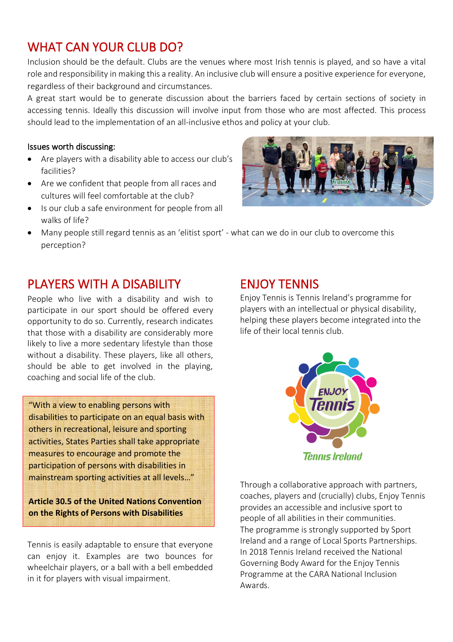# WHAT CAN YOUR CLUB DO?

Inclusion should be the default. Clubs are the venues where most Irish tennis is played, and so have a vital role and responsibility in making this a reality. An inclusive club will ensure a positive experience for everyone, regardless of their background and circumstances.

A great start would be to generate discussion about the barriers faced by certain sections of society in accessing tennis. Ideally this discussion will involve input from those who are most affected. This process should lead to the implementation of an all-inclusive ethos and policy at your club.

### Issues worth discussing:

- Are players with a disability able to access our club's facilities?
- Are we confident that people from all races and cultures will feel comfortable at the club?
- Is our club a safe environment for people from all walks of life?



• Many people still regard tennis as an 'elitist sport' - what can we do in our club to overcome this perception?

# PLAYERS WITH A DISABILITY

People who live with a disability and wish to participate in our sport should be offered every opportunity to do so. Currently, research indicates that those with a disability are considerably more likely to live a more sedentary lifestyle than those without a disability. These players, like all others, should be able to get involved in the playing, coaching and social life of the club.

"With a view to enabling persons with disabilities to participate on an equal basis with others in recreational, leisure and sporting activities, States Parties shall take appropriate measures to encourage and promote the participation of persons with disabilities in mainstream sporting activities at all levels…"

**Article 30.5 of the United Nations Convention on the Rights of Persons with Disabilities**

Tennis is easily adaptable to ensure that everyone can enjoy it. Examples are two bounces for wheelchair players, or a ball with a bell embedded in it for players with visual impairment.

### ENJOY TENNIS

Enjoy Tennis is Tennis Ireland's programme for players with an intellectual or physical disability, helping these players become integrated into the life of their local tennis club.



Through a collaborative approach with partners, coaches, players and (crucially) clubs, Enjoy Tennis provides an accessible and inclusive sport to people of all abilities in their communities. The programme is strongly supported by Sport Ireland and a range of Local Sports Partnerships. In 2018 Tennis Ireland received the National Governing Body Award for the Enjoy Tennis Programme at the CARA National Inclusion Awards.